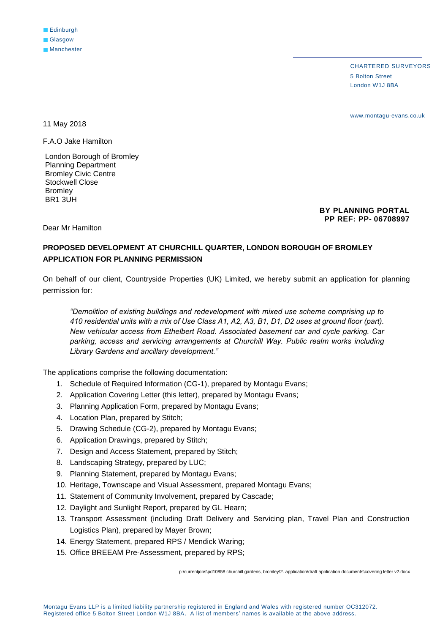CHARTERED SURVEYORS 5 Bolton Street London W1J 8BA

www.montagu-evans.co.uk

11 May 2018

F.A.O Jake Hamilton

London Borough of Bromley Planning Department Bromley Civic Centre Stockwell Close Bromley BR1 3UH

> **BY PLANNING PORTAL PP REF: PP- 06708997**

Dear Mr Hamilton

## **PROPOSED DEVELOPMENT AT CHURCHILL QUARTER, LONDON BOROUGH OF BROMLEY APPLICATION FOR PLANNING PERMISSION**

On behalf of our client, Countryside Properties (UK) Limited, we hereby submit an application for planning permission for:

*"Demolition of existing buildings and redevelopment with mixed use scheme comprising up to 410 residential units with a mix of Use Class A1, A2, A3, B1, D1, D2 uses at ground floor (part). New vehicular access from Ethelbert Road. Associated basement car and cycle parking. Car parking, access and servicing arrangements at Churchill Way. Public realm works including Library Gardens and ancillary development."* 

The applications comprise the following documentation:

- 1. Schedule of Required Information (CG-1), prepared by Montagu Evans;
- 2. Application Covering Letter (this letter), prepared by Montagu Evans;
- 3. Planning Application Form, prepared by Montagu Evans;
- 4. Location Plan, prepared by Stitch;
- 5. Drawing Schedule (CG-2), prepared by Montagu Evans;
- 6. Application Drawings, prepared by Stitch;
- 7. Design and Access Statement, prepared by Stitch;
- 8. Landscaping Strategy, prepared by LUC;
- 9. Planning Statement, prepared by Montagu Evans;
- 10. Heritage, Townscape and Visual Assessment, prepared Montagu Evans;
- 11. Statement of Community Involvement, prepared by Cascade;
- 12. Daylight and Sunlight Report, prepared by GL Hearn;
- 13. Transport Assessment (including Draft Delivery and Servicing plan, Travel Plan and Construction Logistics Plan), prepared by Mayer Brown;
- 14. Energy Statement, prepared RPS / Mendick Waring;
- 15. Office BREEAM Pre-Assessment, prepared by RPS;

p:\currentjobs\pd10858 churchill gardens, bromley\2. application\draft application documents\covering letter v2.docx